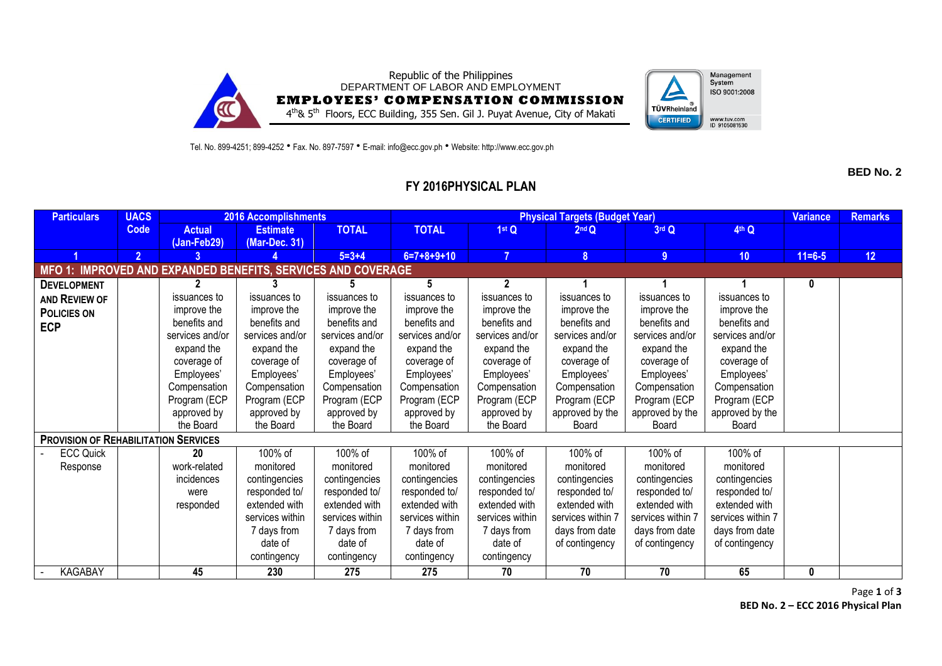



Tel. No. 899-4251; 899-4252 • Fax. No. 897-7597 • E-mail: info@ecc.gov.ph • Website: http://www.ecc.gov.ph

**BED No. 2**

## **FY 2016PHYSICAL PLAN**

| <b>Particulars</b>                                           | <b>UACS</b>    | <b>2016 Accomplishments</b>  |                                  |                 | <b>Physical Targets (Budget Year)</b> |                 |                   |                   |                   |              | <b>Remarks</b> |
|--------------------------------------------------------------|----------------|------------------------------|----------------------------------|-----------------|---------------------------------------|-----------------|-------------------|-------------------|-------------------|--------------|----------------|
|                                                              | <b>Code</b>    | <b>Actual</b><br>(Jan-Feb29) | <b>Estimate</b><br>(Mar-Dec. 31) | <b>TOTAL</b>    | <b>TOTAL</b>                          | 1st Q           | 2 <sup>nd</sup> Q | 3rd Q             | 4 <sup>th</sup> Q |              |                |
|                                                              | $\overline{2}$ |                              |                                  | $5 = 3 + 4$     | $6=7+8+9+10$                          | $\overline{7}$  | 8 <sup>°</sup>    | 9                 | 10 <sub>1</sub>   | $11 = 6 - 5$ | 12             |
| MFO 1: IMPROVED AND EXPANDED BENEFITS, SERVICES AND COVERAGE |                |                              |                                  |                 |                                       |                 |                   |                   |                   |              |                |
| <b>DEVELOPMENT</b>                                           |                | $\mathbf{2}$                 | 3                                | 5               | 5                                     | $\overline{2}$  |                   |                   |                   | 0            |                |
| AND REVIEW OF                                                |                | issuances to                 | issuances to                     | issuances to    | issuances to                          | issuances to    | issuances to      | issuances to      | issuances to      |              |                |
| <b>POLICIES ON</b>                                           |                | improve the                  | improve the                      | improve the     | improve the                           | improve the     | improve the       | improve the       | improve the       |              |                |
| <b>ECP</b>                                                   |                | benefits and                 | benefits and                     | benefits and    | benefits and                          | benefits and    | benefits and      | benefits and      | benefits and      |              |                |
|                                                              |                | services and/or              | services and/or                  | services and/or | services and/or                       | services and/or | services and/or   | services and/or   | services and/or   |              |                |
|                                                              |                | expand the                   | expand the                       | expand the      | expand the                            | expand the      | expand the        | expand the        | expand the        |              |                |
|                                                              |                | coverage of                  | coverage of                      | coverage of     | coverage of                           | coverage of     | coverage of       | coverage of       | coverage of       |              |                |
|                                                              |                | Employees'                   | Employees'                       | Employees'      | Employees'                            | Employees'      | Employees'        | Employees'        | Employees'        |              |                |
|                                                              |                | Compensation                 | Compensation                     | Compensation    | Compensation                          | Compensation    | Compensation      | Compensation      | Compensation      |              |                |
|                                                              |                | Program (ECP                 | Program (ECP                     | Program (ECP    | Program (ECP                          | Program (ECP    | Program (ECP      | Program (ECP      | Program (ECP      |              |                |
|                                                              |                | approved by                  | approved by                      | approved by     | approved by                           | approved by     | approved by the   | approved by the   | approved by the   |              |                |
|                                                              |                | the Board                    | the Board                        | the Board       | the Board                             | the Board       | Board             | Board             | Board             |              |                |
| <b>PROVISION OF REHABILITATION SERVICES</b>                  |                |                              |                                  |                 |                                       |                 |                   |                   |                   |              |                |
| <b>ECC Quick</b>                                             |                | 20                           | 100% of                          | 100% of         | 100% of                               | 100% of         | 100% of           | 100% of           | 100% of           |              |                |
| Response                                                     |                | work-related                 | monitored                        | monitored       | monitored                             | monitored       | monitored         | monitored         | monitored         |              |                |
|                                                              |                | incidences                   | contingencies                    | contingencies   | contingencies                         | contingencies   | contingencies     | contingencies     | contingencies     |              |                |
|                                                              |                | were                         | responded to/                    | responded to/   | responded to/                         | responded to/   | responded to/     | responded to/     | responded to/     |              |                |
|                                                              |                | responded                    | extended with                    | extended with   | extended with                         | extended with   | extended with     | extended with     | extended with     |              |                |
|                                                              |                |                              | services within                  | services within | services within                       | services within | services within 7 | services within 7 | services within 7 |              |                |
|                                                              |                |                              | 7 days from                      | 7 days from     | 7 days from                           | 7 days from     | days from date    | days from date    | days from date    |              |                |
|                                                              |                |                              | date of                          | date of         | date of                               | date of         | of contingency    | of contingency    | of contingency    |              |                |
|                                                              |                |                              | contingency                      | contingency     | contingency                           | contingency     |                   |                   |                   |              |                |
| <b>KAGABAY</b>                                               |                | 45                           | 230                              | 275             | 275                                   | 70              | 70                | 70                | 65                | 0            |                |

Page **1** of **3 BED No. 2 – ECC 2016 Physical Plan**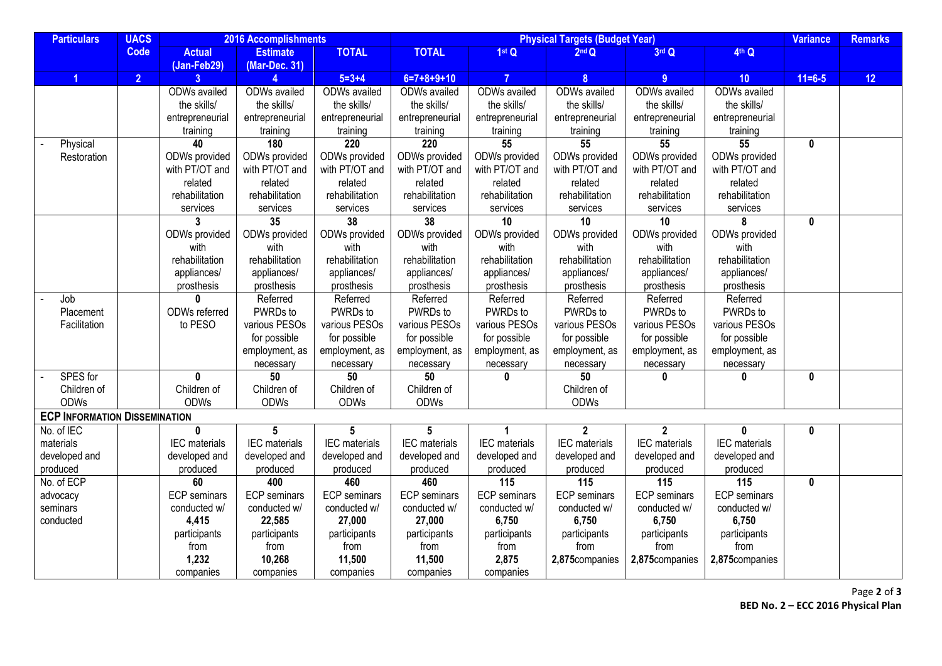| <b>Particulars</b>                   | <b>UACS</b>    |                     | 2016 Accomplishments |                      | <b>Physical Targets (Budget Year)</b> |                     |                      |                      |                      |              | <b>Remarks</b> |
|--------------------------------------|----------------|---------------------|----------------------|----------------------|---------------------------------------|---------------------|----------------------|----------------------|----------------------|--------------|----------------|
|                                      | <b>Code</b>    | <b>Actual</b>       | <b>Estimate</b>      | <b>TOTAL</b>         | <b>TOTAL</b>                          | 1stQ                | 2 <sup>nd</sup> Q    | 3rd Q                | 4th Q                |              |                |
|                                      |                | (Jan-Feb29)         | (Mar-Dec. 31)        |                      |                                       |                     |                      |                      |                      |              |                |
|                                      | $\overline{2}$ | 3 <sup>1</sup>      |                      | $5 = 3 + 4$          | $6=7+8+9+10$                          | $\overline{7}$      | $\boldsymbol{8}$     | 9                    | 10                   | $11 = 6 - 5$ | 12             |
|                                      |                | ODWs availed        | <b>ODWs</b> availed  | ODWs availed         | ODWs availed                          | <b>ODWs</b> availed | <b>ODWs</b> availed  | <b>ODWs</b> availed  | ODWs availed         |              |                |
|                                      |                | the skills/         | the skills/          | the skills/          | the skills/                           | the skills/         | the skills/          | the skills/          | the skills/          |              |                |
|                                      |                | entrepreneurial     | entrepreneurial      | entrepreneurial      | entrepreneurial                       | entrepreneurial     | entrepreneurial      | entrepreneurial      | entrepreneurial      |              |                |
|                                      |                | training            | training             | training             | training                              | training            | training             | training             | training             |              |                |
| Physical                             |                | 40                  | 180                  | 220                  | 220                                   | 55                  | 55                   | 55                   | 55                   | $\mathbf{0}$ |                |
| Restoration                          |                | ODWs provided       | ODWs provided        | ODWs provided        | ODWs provided                         | ODWs provided       | ODWs provided        | ODWs provided        | ODWs provided        |              |                |
|                                      |                | with PT/OT and      | with PT/OT and       | with PT/OT and       | with PT/OT and                        | with PT/OT and      | with PT/OT and       | with PT/OT and       | with PT/OT and       |              |                |
|                                      |                | related             | related              | related              | related                               | related             | related              | related              | related              |              |                |
|                                      |                | rehabilitation      | rehabilitation       | rehabilitation       | rehabilitation                        | rehabilitation      | rehabilitation       | rehabilitation       | rehabilitation       |              |                |
|                                      |                | services            | services             | services             | services                              | services            | services             | services             | services             |              |                |
|                                      |                | 3                   | 35                   | $\overline{38}$      | 38                                    | 10                  | $\overline{10}$      | 10                   | 8                    | 0            |                |
|                                      |                | ODWs provided       | ODWs provided        | ODWs provided        | ODWs provided                         | ODWs provided       | ODWs provided        | ODWs provided        | ODWs provided        |              |                |
|                                      |                | with                | with                 | with                 | with                                  | with                | with                 | with                 | with                 |              |                |
|                                      |                | rehabilitation      | rehabilitation       | rehabilitation       | rehabilitation                        | rehabilitation      | rehabilitation       | rehabilitation       | rehabilitation       |              |                |
|                                      |                | appliances/         | appliances/          | appliances/          | appliances/                           | appliances/         | appliances/          | appliances/          | appliances/          |              |                |
|                                      |                | prosthesis          | prosthesis           | prosthesis           | prosthesis                            | prosthesis          | prosthesis           | prosthesis           | prosthesis           |              |                |
| Job                                  |                |                     | Referred             | Referred             | Referred                              | Referred            | Referred             | Referred             | Referred             |              |                |
| Placement                            |                | ODWs referred       | PWRDs to             | PWRDs to             | PWRDs to                              | PWRDs to            | PWRDs to             | PWRDs to             | PWRDs to             |              |                |
| Facilitation                         |                | to PESO             | various PESOs        | various PESOs        | various PESOs                         | various PESOs       | various PESOs        | various PESOs        | various PESOs        |              |                |
|                                      |                |                     | for possible         | for possible         | for possible                          | for possible        | for possible         | for possible         | for possible         |              |                |
|                                      |                |                     | employment, as       | employment, as       | employment, as                        | employment, as      | employment, as       | employment, as       | employment, as       |              |                |
|                                      |                |                     | necessary            | necessary            | necessary                             | necessary           | necessary            | necessary            | necessary            |              |                |
| SPES for                             |                | $\mathbf 0$         | 50                   | $\overline{50}$      | 50                                    | 0                   | 50                   | 0                    | U                    | 0            |                |
| Children of                          |                | Children of         | Children of          | Children of          | Children of                           |                     | Children of          |                      |                      |              |                |
| <b>ODWs</b>                          |                | <b>ODWs</b>         | ODWs                 | <b>ODWs</b>          | <b>ODWs</b>                           |                     | <b>ODWs</b>          |                      |                      |              |                |
| <b>ECP INFORMATION DISSEMINATION</b> |                |                     |                      |                      |                                       |                     |                      |                      |                      |              |                |
| No. of IEC                           |                | $\mathbf 0$         | 5                    | 5                    | $5\phantom{.0}$                       |                     | $\overline{2}$       | $\mathbf{2}$         | 0                    | 0            |                |
| materials                            |                | IEC materials       | IEC materials        | <b>IEC</b> materials | <b>IEC</b> materials                  | IEC materials       | <b>IEC</b> materials | <b>IEC</b> materials | <b>IEC</b> materials |              |                |
| developed and                        |                | developed and       | developed and        | developed and        | developed and                         | developed and       | developed and        | developed and        | developed and        |              |                |
| produced                             |                | produced            | produced             | produced             | produced                              | produced            | produced             | produced             | produced             |              |                |
| No. of ECP                           |                | 60                  | 400                  | 460                  | 460                                   | 115                 | $\frac{115}{115}$    | $\overline{115}$     | 115                  | 0            |                |
| advocacy                             |                | <b>ECP</b> seminars | <b>ECP</b> seminars  | <b>ECP</b> seminars  | <b>ECP</b> seminars                   | <b>ECP</b> seminars | <b>ECP</b> seminars  | <b>ECP</b> seminars  | <b>ECP</b> seminars  |              |                |
| seminars                             |                | conducted w/        | conducted w/         | conducted w/         | conducted w/                          | conducted w/        | conducted w/         | conducted w/         | conducted w/         |              |                |
| conducted                            |                | 4,415               | 22,585               | 27,000               | 27,000                                | 6,750               | 6,750                | 6,750                | 6,750                |              |                |
|                                      |                | participants        | participants         | participants         | participants                          | participants        | participants         | participants         | participants         |              |                |
|                                      |                | from                | from                 | from                 | from                                  | from                | from                 | from                 | from                 |              |                |
|                                      |                | 1,232               | 10,268               | 11,500               | 11,500                                | 2,875               | 2,875companies       | 2,875companies       | 2,875companies       |              |                |
|                                      |                | companies           | companies            | companies            | companies                             | companies           |                      |                      |                      |              |                |